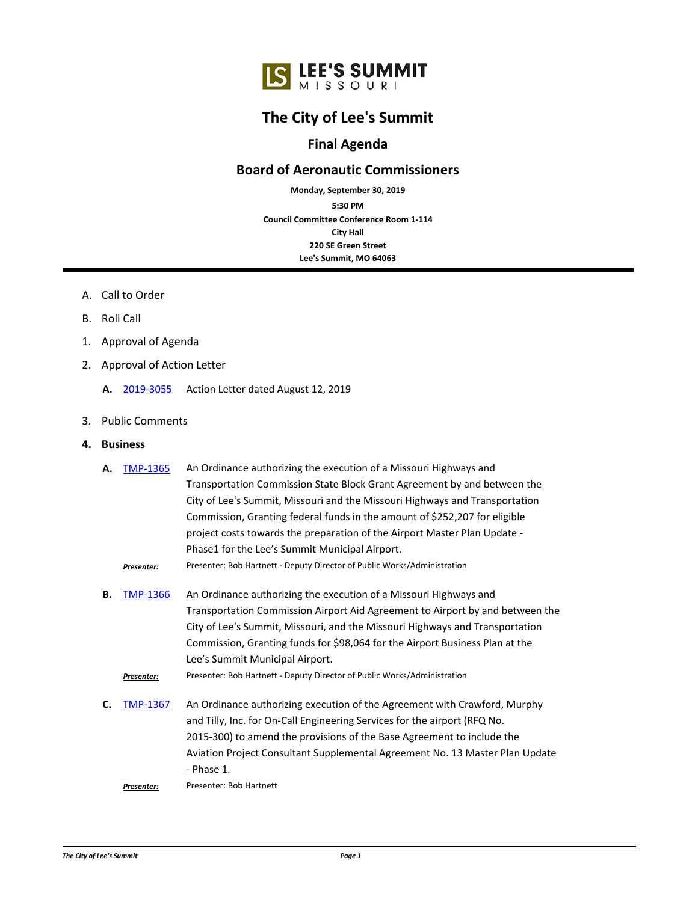## **The City of Lee's Summit**

## **Final Agenda**

## **Board of Aeronautic Commissioners**

**Council Committee Conference Room 1-114 City Hall 220 SE Green Street Lee's Summit, MO 64063 5:30 PM Monday, September 30, 2019**

- A. Call to Order
- B. Roll Call
- 1. Approval of Agenda
- 2. Approval of Action Letter
	- **A.** [2019-3055](http://lsmo.legistar.com/gateway.aspx?m=l&id=/matter.aspx?key=5507) Action Letter dated August 12, 2019
- 3. Public Comments
- **4. Business**

| А. | TMP-1365   | An Ordinance authorizing the execution of a Missouri Highways and             |
|----|------------|-------------------------------------------------------------------------------|
|    |            | Transportation Commission State Block Grant Agreement by and between the      |
|    |            | City of Lee's Summit, Missouri and the Missouri Highways and Transportation   |
|    |            | Commission, Granting federal funds in the amount of \$252,207 for eligible    |
|    |            | project costs towards the preparation of the Airport Master Plan Update -     |
|    |            | Phase1 for the Lee's Summit Municipal Airport.                                |
|    | Presenter: | Presenter: Bob Hartnett - Deputy Director of Public Works/Administration      |
| В. | TMP-1366   | An Ordinance authorizing the execution of a Missouri Highways and             |
|    |            | Transportation Commission Airport Aid Agreement to Airport by and between the |
|    |            | City of Lee's Summit, Missouri, and the Missouri Highways and Transportation  |
|    |            | Commission, Granting funds for \$98,064 for the Airport Business Plan at the  |
|    |            | Lee's Summit Municipal Airport.                                               |
|    | Presenter: | Presenter: Bob Hartnett - Deputy Director of Public Works/Administration      |
| С. | TMP-1367   | An Ordinance authorizing execution of the Agreement with Crawford, Murphy     |
|    |            | and Tilly Jnc, for On-Call Engineering Services for the airport (REO No.      |

and Tilly, Inc. for On-Call Engineering Services for the airport (RFQ No. 2015-300) to amend the provisions of the Base Agreement to include the Aviation Project Consultant Supplemental Agreement No. 13 Master Plan Update - Phase 1.

*Presenter:* Presenter: Bob Hartnett